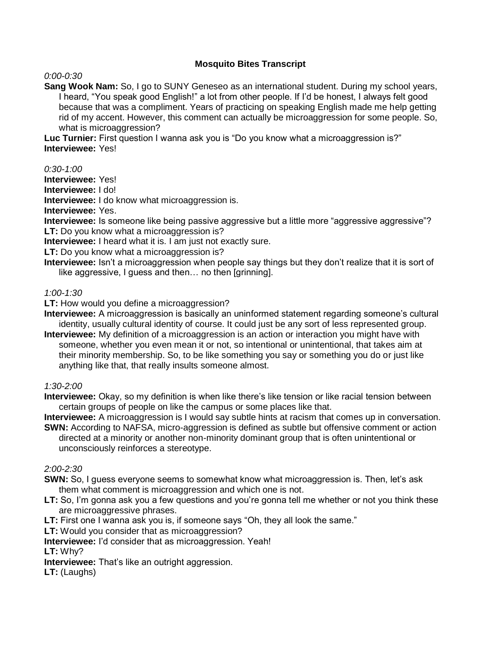# **Mosquito Bites Transcript**

*0:00-0:30* 

**Sang Wook Nam:** So, I go to SUNY Geneseo as an international student. During my school years, I heard, "You speak good English!" a lot from other people. If I'd be honest, I always felt good because that was a compliment. Years of practicing on speaking English made me help getting rid of my accent. However, this comment can actually be microaggression for some people. So, what is microaggression?

**Luc Turnier:** First question I wanna ask you is "Do you know what a microaggression is?" **Interviewee:** Yes!

*0:30-1:00*

**Interviewee:** Yes!

**Interviewee:** I do!

**Interviewee:** I do know what microaggression is.

**Interviewee:** Yes.

**Interviewee:** Is someone like being passive aggressive but a little more "aggressive aggressive"? **LT:** Do you know what a microaggression is?

**Interviewee:** I heard what it is. I am just not exactly sure.

**LT:** Do you know what a microaggression is?

**Interviewee:** Isn't a microaggression when people say things but they don't realize that it is sort of like aggressive, I guess and then… no then [grinning].

*1:00-1:30* 

**LT:** How would you define a microaggression?

**Interviewee:** A microaggression is basically an uninformed statement regarding someone's cultural identity, usually cultural identity of course. It could just be any sort of less represented group.

**Interviewee:** My definition of a microaggression is an action or interaction you might have with someone, whether you even mean it or not, so intentional or unintentional, that takes aim at their minority membership. So, to be like something you say or something you do or just like anything like that, that really insults someone almost.

*1:30-2:00*

**Interviewee:** Okay, so my definition is when like there's like tension or like racial tension between certain groups of people on like the campus or some places like that.

**Interviewee:** A microaggression is I would say subtle hints at racism that comes up in conversation.

**SWN:** According to NAFSA, micro-aggression is defined as subtle but offensive comment or action directed at a minority or another non-minority dominant group that is often unintentional or unconsciously reinforces a stereotype.

*2:00-2:30* 

- **SWN:** So, I guess everyone seems to somewhat know what microaggression is. Then, let's ask them what comment is microaggression and which one is not.
- **LT:** So, I'm gonna ask you a few questions and you're gonna tell me whether or not you think these are microaggressive phrases.
- **LT:** First one I wanna ask you is, if someone says "Oh, they all look the same."

**LT:** Would you consider that as microaggression?

**Interviewee:** I'd consider that as microaggression. Yeah!

**LT:** Why?

**Interviewee:** That's like an outright aggression.

**LT:** (Laughs)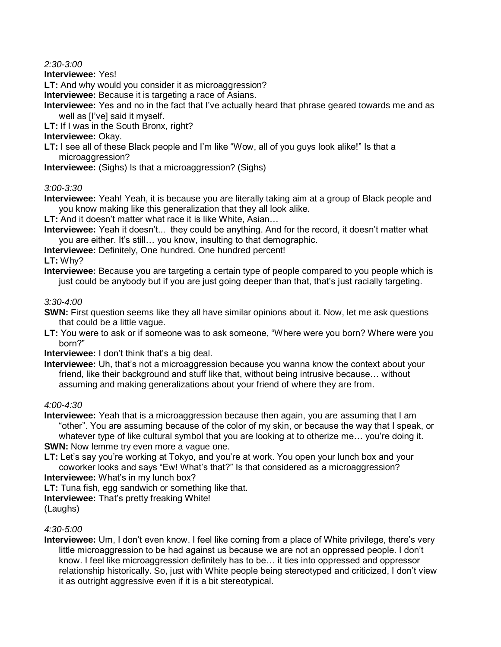*2:30-3:00* 

**Interviewee:** Yes!

**LT:** And why would you consider it as microaggression?

**Interviewee:** Because it is targeting a race of Asians.

**Interviewee:** Yes and no in the fact that I've actually heard that phrase geared towards me and as well as [I've] said it myself.

**LT:** If I was in the South Bronx, right?

## **Interviewee:** Okay.

**LT:** I see all of these Black people and I'm like "Wow, all of you guys look alike!" Is that a microaggression?

**Interviewee:** (Sighs) Is that a microaggression? (Sighs)

# *3:00-3:30*

**Interviewee:** Yeah! Yeah, it is because you are literally taking aim at a group of Black people and you know making like this generalization that they all look alike.

**LT:** And it doesn't matter what race it is like White, Asian…

**Interviewee:** Yeah it doesn't... they could be anything. And for the record, it doesn't matter what you are either. It's still… you know, insulting to that demographic.

**Interviewee:** Definitely, One hundred. One hundred percent!

# **LT:** Why?

**Interviewee:** Because you are targeting a certain type of people compared to you people which is just could be anybody but if you are just going deeper than that, that's just racially targeting.

# *3:30-4:00*

**SWN:** First question seems like they all have similar opinions about it. Now, let me ask questions that could be a little vague.

**LT:** You were to ask or if someone was to ask someone, "Where were you born? Where were you born?"

**Interviewee:** I don't think that's a big deal.

**Interviewee:** Uh, that's not a microaggression because you wanna know the context about your friend, like their background and stuff like that, without being intrusive because… without assuming and making generalizations about your friend of where they are from.

## *4:00-4:30*

**Interviewee:** Yeah that is a microaggression because then again, you are assuming that I am "other". You are assuming because of the color of my skin, or because the way that I speak, or whatever type of like cultural symbol that you are looking at to otherize me... you're doing it. **SWN:** Now lemme try even more a vague one.

**LT:** Let's say you're working at Tokyo, and you're at work. You open your lunch box and your coworker looks and says "Ew! What's that?" Is that considered as a microaggression? **Interviewee:** What's in my lunch box?

**LT:** Tuna fish, egg sandwich or something like that.

**Interviewee:** That's pretty freaking White!

(Laughs)

## *4:30-5:00*

**Interviewee:** Um, I don't even know. I feel like coming from a place of White privilege, there's very little microaggression to be had against us because we are not an oppressed people. I don't know. I feel like microaggression definitely has to be… it ties into oppressed and oppressor relationship historically. So, just with White people being stereotyped and criticized, I don't view it as outright aggressive even if it is a bit stereotypical.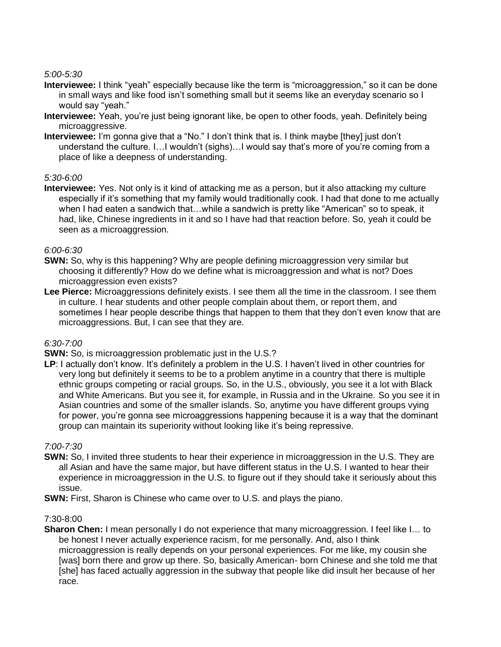*5:00-5:30* 

- **Interviewee:** I think "yeah" especially because like the term is "microaggression," so it can be done in small ways and like food isn't something small but it seems like an everyday scenario so I would say "yeah."
- **Interviewee:** Yeah, you're just being ignorant like, be open to other foods, yeah. Definitely being microaggressive.
- **Interviewee:** I'm gonna give that a "No." I don't think that is. I think maybe [they] just don't understand the culture. I…I wouldn't (sighs)…I would say that's more of you're coming from a place of like a deepness of understanding.

### *5:30-6:00*

**Interviewee:** Yes. Not only is it kind of attacking me as a person, but it also attacking my culture especially if it's something that my family would traditionally cook. I had that done to me actually when I had eaten a sandwich that…while a sandwich is pretty like "American" so to speak, it had, like, Chinese ingredients in it and so I have had that reaction before. So, yeah it could be seen as a microaggression.

### *6:00-6:30*

- **SWN:** So, why is this happening? Why are people defining microaggression very similar but choosing it differently? How do we define what is microaggression and what is not? Does microaggression even exists?
- **Lee Pierce:** Microaggressions definitely exists. I see them all the time in the classroom. I see them in culture. I hear students and other people complain about them, or report them, and sometimes I hear people describe things that happen to them that they don't even know that are microaggressions. But, I can see that they are.

## *6:30-7:00*

**SWN:** So, is microaggression problematic just in the U.S.?

LP: I actually don't know. It's definitely a problem in the U.S. I haven't lived in other countries for very long but definitely it seems to be to a problem anytime in a country that there is multiple ethnic groups competing or racial groups. So, in the U.S., obviously, you see it a lot with Black and White Americans. But you see it, for example, in Russia and in the Ukraine. So you see it in Asian countries and some of the smaller islands. So, anytime you have different groups vying for power, you're gonna see microaggressions happening because it is a way that the dominant group can maintain its superiority without looking like it's being repressive.

## *7:00-7:30*

- **SWN:** So, I invited three students to hear their experience in microaggression in the U.S. They are all Asian and have the same major, but have different status in the U.S. I wanted to hear their experience in microaggression in the U.S. to figure out if they should take it seriously about this issue.
- **SWN:** First, Sharon is Chinese who came over to U.S. and plays the piano.

## 7:30-8:00

**Sharon Chen:** I mean personally I do not experience that many microaggression. I feel like I… to be honest I never actually experience racism, for me personally. And, also I think microaggression is really depends on your personal experiences. For me like, my cousin she [was] born there and grow up there. So, basically American- born Chinese and she told me that [she] has faced actually aggression in the subway that people like did insult her because of her race.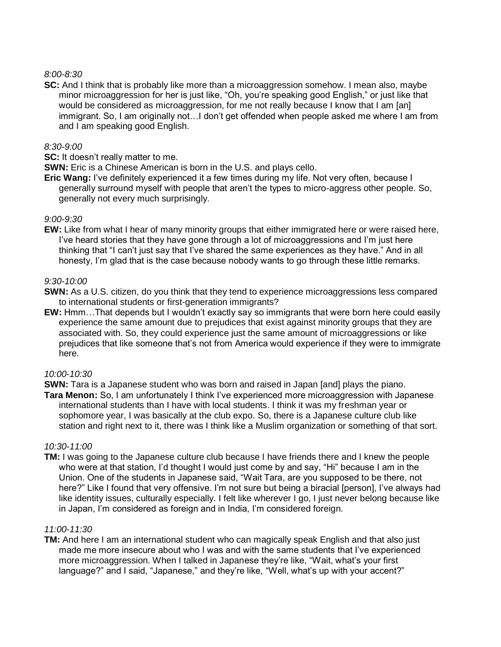## *8:00-8:30*

**SC:** And I think that is probably like more than a microaggression somehow. I mean also, maybe minor microaggression for her is just like, "Oh, you're speaking good English," or just like that would be considered as microaggression, for me not really because I know that I am [an] immigrant. So, I am originally not…I don't get offended when people asked me where I am from and I am speaking good English.

## *8:30-9:00*

**SC:** It doesn't really matter to me.

**SWN:** Eric is a Chinese American is born in the U.S. and plays cello.

**Eric Wang:** I've definitely experienced it a few times during my life. Not very often, because I generally surround myself with people that aren't the types to micro-aggress other people. So, generally not every much surprisingly.

### *9:00-9:30*

**EW:** Like from what I hear of many minority groups that either immigrated here or were raised here, I've heard stories that they have gone through a lot of microaggressions and I'm just here thinking that "I can't just say that I've shared the same experiences as they have." And in all honesty, I'm glad that is the case because nobody wants to go through these little remarks.

## *9:30-10:00*

- **SWN:** As a U.S. citizen, do you think that they tend to experience microaggressions less compared to international students or first-generation immigrants?
- **EW:** Hmm…That depends but I wouldn't exactly say so immigrants that were born here could easily experience the same amount due to prejudices that exist against minority groups that they are associated with. So, they could experience just the same amount of microaggressions or like prejudices that like someone that's not from America would experience if they were to immigrate here.

#### *10:00-10:30*

**SWN:** Tara is a Japanese student who was born and raised in Japan [and] plays the piano.

**Tara Menon:** So, I am unfortunately I think I've experienced more microaggression with Japanese international students than I have with local students. I think it was my freshman year or sophomore year, I was basically at the club expo. So, there is a Japanese culture club like station and right next to it, there was I think like a Muslim organization or something of that sort.

#### *10:30-11:00*

**TM:** I was going to the Japanese culture club because I have friends there and I knew the people who were at that station, I'd thought I would just come by and say, "Hi" because I am in the Union. One of the students in Japanese said, "Wait Tara, are you supposed to be there, not here?" Like I found that very offensive. I'm not sure but being a biracial [person], I've always had like identity issues, culturally especially. I felt like wherever I go, I just never belong because like in Japan, I'm considered as foreign and in India, I'm considered foreign.

#### *11:00-11:30*

**TM:** And here I am an international student who can magically speak English and that also just made me more insecure about who I was and with the same students that I've experienced more microaggression. When I talked in Japanese they're like, "Wait, what's your first language?" and I said, "Japanese," and they're like, "Well, what's up with your accent?"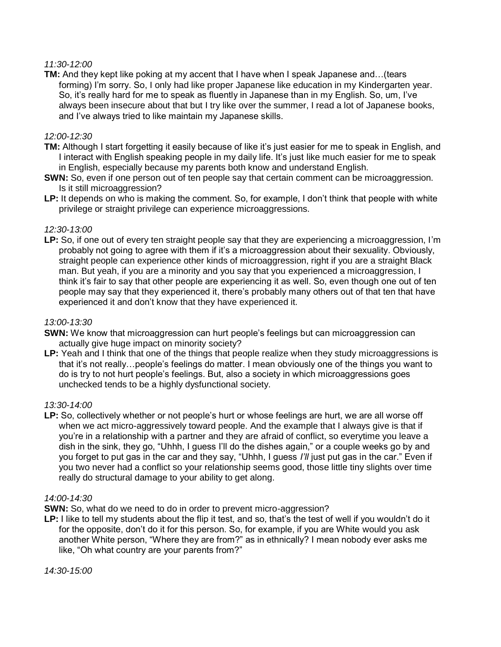## *11:30-12:00*

**TM:** And they kept like poking at my accent that I have when I speak Japanese and…(tears forming) I'm sorry. So, I only had like proper Japanese like education in my Kindergarten year. So, it's really hard for me to speak as fluently in Japanese than in my English. So, um, I've always been insecure about that but I try like over the summer, I read a lot of Japanese books, and I've always tried to like maintain my Japanese skills.

### *12:00-12:30*

- **TM:** Although I start forgetting it easily because of like it's just easier for me to speak in English, and I interact with English speaking people in my daily life. It's just like much easier for me to speak in English, especially because my parents both know and understand English.
- **SWN:** So, even if one person out of ten people say that certain comment can be microaggression. Is it still microaggression?
- **LP:** It depends on who is making the comment. So, for example, I don't think that people with white privilege or straight privilege can experience microaggressions.

### *12:30-13:00*

**LP:** So, if one out of every ten straight people say that they are experiencing a microaggression, I'm probably not going to agree with them if it's a microaggression about their sexuality. Obviously, straight people can experience other kinds of microaggression, right if you are a straight Black man. But yeah, if you are a minority and you say that you experienced a microaggression, I think it's fair to say that other people are experiencing it as well. So, even though one out of ten people may say that they experienced it, there's probably many others out of that ten that have experienced it and don't know that they have experienced it.

#### *13:00-13:30*

- **SWN:** We know that microaggression can hurt people's feelings but can microaggression can actually give huge impact on minority society?
- LP: Yeah and I think that one of the things that people realize when they study microaggressions is that it's not really…people's feelings do matter. I mean obviously one of the things you want to do is try to not hurt people's feelings. But, also a society in which microaggressions goes unchecked tends to be a highly dysfunctional society.

#### *13:30-14:00*

**LP:** So, collectively whether or not people's hurt or whose feelings are hurt, we are all worse off when we act micro-aggressively toward people. And the example that I always give is that if you're in a relationship with a partner and they are afraid of conflict, so everytime you leave a dish in the sink, they go, "Uhhh, I guess I'll do the dishes again," or a couple weeks go by and you forget to put gas in the car and they say, "Uhhh, I guess *I'll* just put gas in the car." Even if you two never had a conflict so your relationship seems good, those little tiny slights over time really do structural damage to your ability to get along.

#### *14:00-14:30*

- **SWN:** So, what do we need to do in order to prevent micro-aggression?
- **LP:** I like to tell my students about the flip it test, and so, that's the test of well if you wouldn't do it for the opposite, don't do it for this person. So, for example, if you are White would you ask another White person, "Where they are from?" as in ethnically? I mean nobody ever asks me like, "Oh what country are your parents from?"

*14:30-15:00*